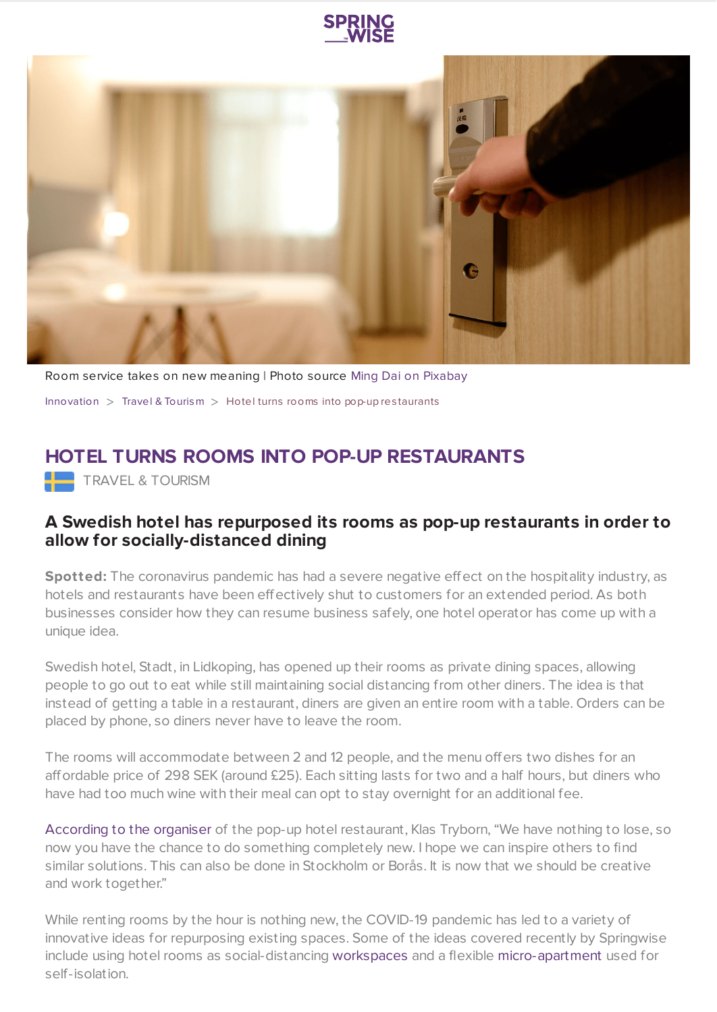



Room service takes on new meaning | Photo source Ming Dai on [Pixabay](https://pixabay.com/) [Innovation](https://www.springwise.com/search?type=innovation)  $>$  Travel & [Tourism](https://www.springwise.com/search?type=innovation§or=travel-and-tourism)  $>$  Hotel turns rooms into pop-up restaurants

## **HOTEL TURNS ROOMS INTO POP-UP RESTAURANTS**

**TRAVEL & TOURISM** 

## **A Swedish hotel has repurposed its rooms as pop-up restaurants in order to allow for socially-distanced dining**

**Spotted:** The coronavirus pandemic has had a severe negative effect on the hospitality industry, as hotels and restaurants have been effectively shut to customers for an extended period. As both businesses consider how they can resume business safely, one hotel operator has come up with a unique idea.

Swedish hotel, Stadt, in Lidkoping, has opened up their rooms as private dining spaces, allowing people to go out to eat while still maintaining social distancing from other diners. The idea is that instead of getting a table in a restaurant, diners are given an entire room with a table. Orders can be placed by phone, so diners never have to leave the room.

The rooms will accommodate between 2 and 12 people, and the menu offers two dishes for an affordable price of 298 SEK (around £25). Each sitting lasts for two and a half hours, but diners who have had too much wine with their meal can opt to stay overnight for an additional fee.

[According](http://innovation/travel-tourism/stadt-hotel-popup-restaurants-coronavirus) to the organiser of the pop-up hotel restaurant, Klas Tryborn, "We have nothing to lose, so now you have the chance to do something completely new. I hope we can inspire others to find similar solutions. This can also be done in Stockholm or Borås. It is now that we should be creative and work together."

While renting rooms by the hour is nothing new, the COVID-19 pandemic has led to a variety of innovative ideas for repurposing existing spaces. Some of the ideas covered recently by Springwise include using hotel rooms as social-distancing [workspaces](https://www.springwise.com/innovation/travel-tourism/hotels-hideaways-at-home-workers) and a flexible [micro-apartment](https://www.springwise.com/sustainability-innovation/architecture-design/urban-cabin-micro-apartment-coronavirus-italy) used for self-isolation.